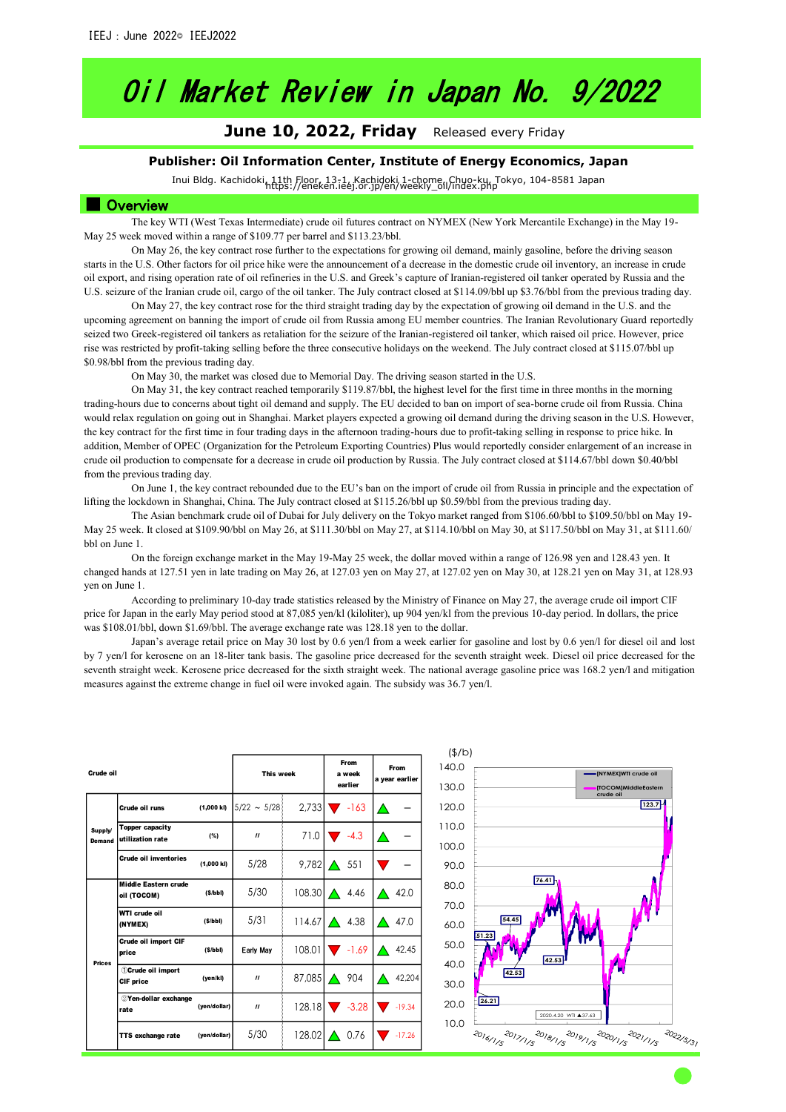# Oil Market Review in Japan No. 9/2022

**June 10, 2022, Friday** Released every Friday

### **Publisher: Oil Information Center, Institute of Energy Economics, Japan**

Inui Bldg. Kachidoki, 11th Floor, 13-1, Kachidoki 1-chome, Chuo-ku, Tokyo, 104-8581 Japan https://eneken.ieej.or.jp/en/weekly\_oil/index.php

### ■ Overview

The key WTI (West Texas Intermediate) crude oil futures contract on NYMEX (New York Mercantile Exchange) in the May 19- May 25 week moved within a range of \$109.77 per barrel and \$113.23/bbl.

On May 26, the key contract rose further to the expectations for growing oil demand, mainly gasoline, before the driving season starts in the U.S. Other factors for oil price hike were the announcement of a decrease in the domestic crude oil inventory, an increase in crude oil export, and rising operation rate of oil refineries in the U.S. and Greek's capture of Iranian-registered oil tanker operated by Russia and the U.S. seizure of the Iranian crude oil, cargo of the oil tanker. The July contract closed at \$114.09/bbl up \$3.76/bbl from the previous trading day.

On May 27, the key contract rose for the third straight trading day by the expectation of growing oil demand in the U.S. and the upcoming agreement on banning the import of crude oil from Russia among EU member countries. The Iranian Revolutionary Guard reportedly seized two Greek-registered oil tankers as retaliation for the seizure of the Iranian-registered oil tanker, which raised oil price. However, price rise was restricted by profit-taking selling before the three consecutive holidays on the weekend. The July contract closed at \$115.07/bbl up \$0.98/bbl from the previous trading day.

On May 30, the market was closed due to Memorial Day. The driving season started in the U.S.

On May 31, the key contract reached temporarily \$119.87/bbl, the highest level for the first time in three months in the morning trading-hours due to concerns about tight oil demand and supply. The EU decided to ban on import of sea-borne crude oil from Russia. China would relax regulation on going out in Shanghai. Market players expected a growing oil demand during the driving season in the U.S. However, the key contract for the first time in four trading days in the afternoon trading-hours due to profit-taking selling in response to price hike. In addition, Member of OPEC (Organization for the Petroleum Exporting Countries) Plus would reportedly consider enlargement of an increase in crude oil production to compensate for a decrease in crude oil production by Russia. The July contract closed at \$114.67/bbl down \$0.40/bbl from the previous trading day.

On June 1, the key contract rebounded due to the EU's ban on the import of crude oil from Russia in principle and the expectation of lifting the lockdown in Shanghai, China. The July contract closed at \$115.26/bbl up \$0.59/bbl from the previous trading day.

The Asian benchmark crude oil of Dubai for July delivery on the Tokyo market ranged from \$106.60/bbl to \$109.50/bbl on May 19- May 25 week. It closed at \$109.90/bbl on May 26, at \$111.30/bbl on May 27, at \$114.10/bbl on May 30, at \$117.50/bbl on May 31, at \$111.60/ bbl on June 1.

On the foreign exchange market in the May 19-May 25 week, the dollar moved within a range of 126.98 yen and 128.43 yen. It changed hands at 127.51 yen in late trading on May 26, at 127.03 yen on May 27, at 127.02 yen on May 30, at 128.21 yen on May 31, at 128.93 yen on June 1.

According to preliminary 10-day trade statistics released by the Ministry of Finance on May 27, the average crude oil import CIF price for Japan in the early May period stood at 87,085 yen/kl (kiloliter), up 904 yen/kl from the previous 10-day period. In dollars, the price was \$108.01/bbl, down \$1.69/bbl. The average exchange rate was 128.18 yen to the dollar.

Japan's average retail price on May 30 lost by 0.6 yen/l from a week earlier for gasoline and lost by 0.6 yen/l for diesel oil and lost by 7 yen/l for kerosene on an 18-liter tank basis. The gasoline price decreased for the seventh straight week. Diesel oil price decreased for the seventh straight week. Kerosene price decreased for the sixth straight week. The national average gasoline price was 168.2 yen/l and mitigation measures against the extreme change in fuel oil were invoked again. The subsidy was 36.7 yen/l.

| Crude oil         |                                              | This week    |                   | From<br>a week<br>earlier | From<br>a year earlier |          |
|-------------------|----------------------------------------------|--------------|-------------------|---------------------------|------------------------|----------|
|                   | Crude oil runs                               | (1,000 kl)   | $5/22 \sim 5/28$  | 2,733                     | $-163$                 |          |
| Supply/<br>Demand | Topper capacity<br>utilization rate          | (%)          | $^{\prime\prime}$ | 71.0                      | $-4.3$                 | ∕        |
|                   | Crude oil inventories                        | (1,000 k)    | 5/28              | 9,782                     | 551                    |          |
|                   | Middle Eastern crude<br>oil (TOCOM)          | (S/bbl)      | 5/30              | 108.30                    | $\triangle$ 4.46       | 42.0     |
|                   | WTI crude oil<br>(NYMEX)                     | (S/bbl)      | 5/31              | 114.67                    | 4.38<br>$\triangle$    | 47.0     |
| <b>Prices</b>     | Crude oil import CIF<br>price                | (S/bbl)      | Early May         | 108.01                    | $-1.69$                | 42.45    |
|                   | <b><i>OCrude oil import</i></b><br>CIF price | (yen/kl)     | $^{\prime\prime}$ | 87,085                    | 904<br>$\triangle$     | 42,204   |
|                   | 2Yen-dollar exchange<br>rate                 | (yen/dollar) | $^{\prime\prime}$ | 128.18                    | $-3.28$                | $-19.34$ |
|                   | TTS exchange rate                            | (yen/dollar) | 5/30              | 128.02                    | 0.76                   | $-17.26$ |

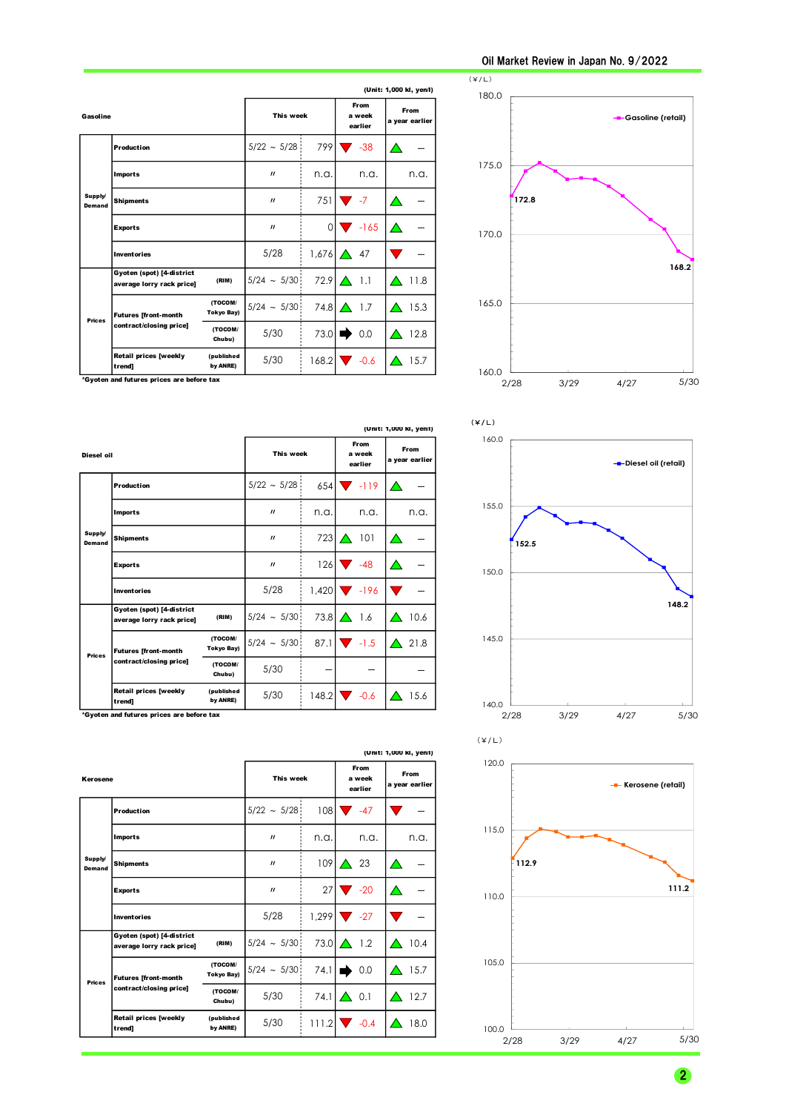|                          | (Unit: 1,000 kl, yen/l)                                |                                |                  |                           |                        |      |
|--------------------------|--------------------------------------------------------|--------------------------------|------------------|---------------------------|------------------------|------|
| Gasoline                 |                                                        | This week                      |                  | From<br>a week<br>earlier | From<br>a year earlier |      |
|                          | <b>Production</b>                                      |                                | $5/22 \sim 5/28$ | 799                       | $-38$                  |      |
| Supply/<br><b>Demand</b> | <b>Imports</b>                                         |                                | $\prime$         | n.a.                      | n.a.                   | n.a. |
|                          | <b>Shipments</b>                                       |                                | $\prime$         | 751                       | $-7$                   |      |
|                          | <b>Exports</b>                                         |                                | $\prime$         | $\Omega$                  | $-165$                 | △    |
|                          | <b>Inventories</b>                                     |                                | 5/28             | 1,676                     | 47<br>$\triangle$      |      |
|                          | Gyoten (spot) [4-district<br>average lorry rack price] | (RIM)                          | $5/24$ ~ $5/30$  |                           | $72.9$ $\bigwedge$ 1.1 | 11.8 |
| <b>Prices</b>            | <b>Futures [front-month</b>                            | (TOCOM/<br><b>Tokyo Bay)</b>   | $5/24 \sim 5/30$ | 74.8                      | $\triangle$ 1.7        | 15.3 |
|                          | contract/closing price]<br>(TOCOM/<br>Chubu)           |                                | 5/30             | 73.0                      | 0.0                    | 12.8 |
|                          | <b>Retail prices [weekly</b><br>trend]                 | <i>(published)</i><br>by ANRE) | 5/30             |                           | $168.2$ $\sqrt{}$ -0.6 | 15.7 |



\*Gyoten and futures prices are before tax

|                   | (Unit: 1,000 kl, yen/l)                                |                              |                   |                           |                           |      |  |
|-------------------|--------------------------------------------------------|------------------------------|-------------------|---------------------------|---------------------------|------|--|
| Diesel oil        |                                                        | This week                    |                   | From<br>a week<br>earlier | From<br>a year earlier    |      |  |
|                   | Production                                             |                              | $5/22 \sim 5/28$  | 654                       | $-119$                    |      |  |
|                   | <b>Imports</b>                                         |                              | $\prime$          | n.a.                      | n.a.                      | n.a. |  |
| Supply/<br>Demand | <b>Shipments</b>                                       |                              | $^{\prime\prime}$ | 723                       | 101<br>A                  |      |  |
|                   | <b>Exports</b>                                         |                              | $^{\prime\prime}$ | 126                       | $-48$                     |      |  |
|                   | <b>Inventories</b>                                     |                              | 5/28              | 1,420                     | $\blacktriangledown$ -196 |      |  |
|                   | Gyoten (spot) [4-district<br>average lorry rack price] | (RIM)                        | $5/24 \sim 5/30$  | $73.8\Delta$              | 1.6                       | 10.6 |  |
| <b>Prices</b>     | <b>Futures [front-month</b>                            | (TOCOM/<br><b>Tokyo Bay)</b> | $5/24 \sim 5/30$  |                           | $87.1$ $\sqrt{1.5}$       | 21.8 |  |
|                   | contract/closing price]<br>(TOCOM/<br>Chubu)           |                              | 5/30              |                           |                           |      |  |
|                   | Retail prices [weekly<br>trend]                        | (published<br>by ANRE)       | 5/30              |                           | $148.2$ $\sqrt{6}$ -0.6   | 15.6 |  |

\*Gyoten and futures prices are before tax

|                   |                                                        |                              |                   |                                  |                               | (Unit: 1,000 kl, yen/l) |
|-------------------|--------------------------------------------------------|------------------------------|-------------------|----------------------------------|-------------------------------|-------------------------|
| Kerosene          |                                                        | This week                    |                   | <b>From</b><br>a week<br>earlier | <b>From</b><br>a year earlier |                         |
|                   | <b>Production</b>                                      |                              | $5/22 \sim 5/28$  | 108 <sup>1</sup>                 | $-47$                         |                         |
|                   | <b>Imports</b>                                         |                              | $^{\prime\prime}$ | n.a.                             | n.a.                          | n.a.                    |
| Supply/<br>Demand | <b>Shipments</b>                                       |                              | $\prime$          | 109                              | 23<br>$\triangle$             |                         |
|                   | <b>Exports</b>                                         |                              | $\prime$          | 27                               | $\blacktriangledown$ -20      |                         |
|                   | <b>Inventories</b>                                     |                              | 5/28              | 1,299                            | $\sqrt{27}$                   |                         |
|                   | Gyoten (spot) [4-district<br>average lorry rack price] | (RIM)                        | $5/24$ ~ $5/30$   |                                  | $73.0\Box$ 1.2                | 10.4<br>∧               |
| <b>Prices</b>     | <b>Futures [front-month</b>                            | (TOCOM/<br><b>Tokyo Bay)</b> | $5/24$ ~ $5/30$   | $74.1$                           | 0.0                           | 15.7<br>△               |
|                   | contract/closing price]                                | (TOCOM/<br>Chubu)            | 5/30              | 74.1                             | $\triangle$ 0.1               | 12.7                    |
|                   | <b>Retail prices [weekly</b><br>trend]                 | (published<br>by ANRE)       | 5/30              |                                  | $111.2$ $\bullet$ -0.4        | 18.0<br>△               |





2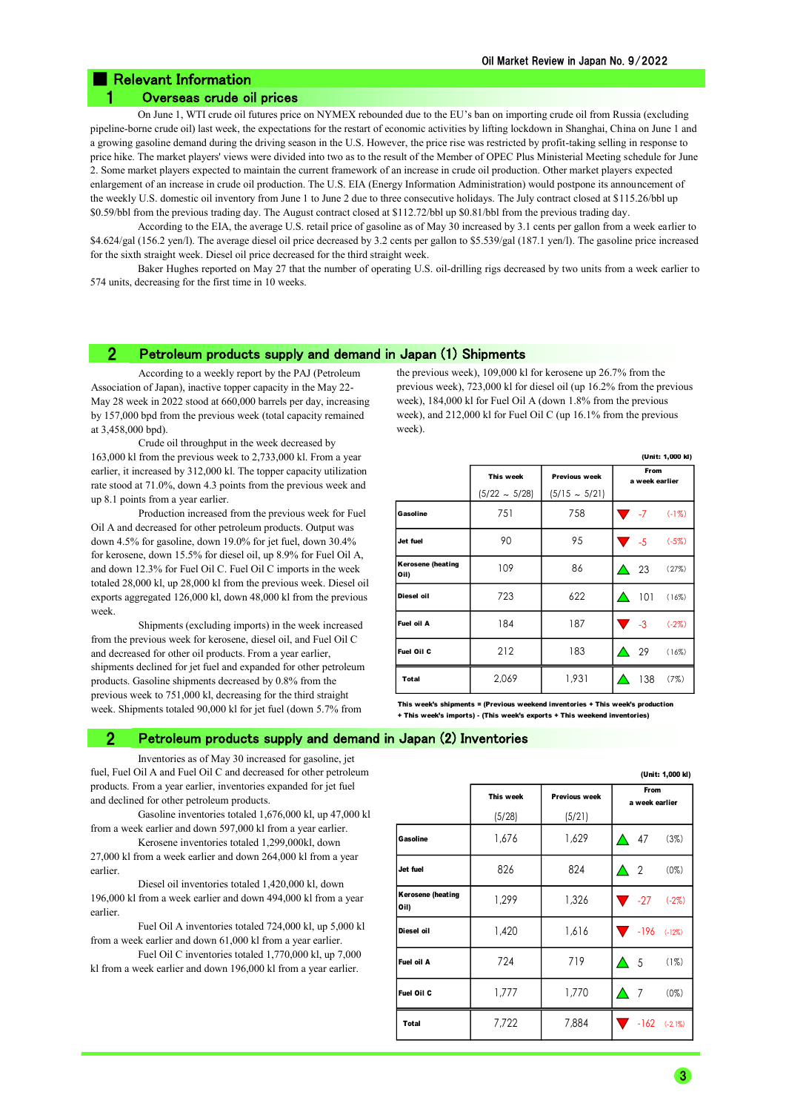## Relevant Information

### 1 Overseas crude oil prices

On June 1, WTI crude oil futures price on NYMEX rebounded due to the EU's ban on importing crude oil from Russia (excluding pipeline-borne crude oil) last week, the expectations for the restart of economic activities by lifting lockdown in Shanghai, China on June 1 and a growing gasoline demand during the driving season in the U.S. However, the price rise was restricted by profit-taking selling in response to price hike. The market players' views were divided into two as to the result of the Member of OPEC Plus Ministerial Meeting schedule for June 2. Some market players expected to maintain the current framework of an increase in crude oil production. Other market players expected enlargement of an increase in crude oil production. The U.S. EIA (Energy Information Administration) would postpone its announcement of the weekly U.S. domestic oil inventory from June 1 to June 2 due to three consecutive holidays. The July contract closed at \$115.26/bbl up \$0.59/bbl from the previous trading day. The August contract closed at \$112.72/bbl up \$0.81/bbl from the previous trading day.

According to the EIA, the average U.S. retail price of gasoline as of May 30 increased by 3.1 cents per gallon from a week earlier to \$4.624/gal (156.2 yen/l). The average diesel oil price decreased by 3.2 cents per gallon to \$5.539/gal (187.1 yen/l). The gasoline price increased for the sixth straight week. Diesel oil price decreased for the third straight week.

Baker Hughes reported on May 27 that the number of operating U.S. oil-drilling rigs decreased by two units from a week earlier to 574 units, decreasing for the first time in 10 weeks.

### 2 Petroleum products supply and demand in Japan (1) Shipments

According to a weekly report by the PAJ (Petroleum Association of Japan), inactive topper capacity in the May 22- May 28 week in 2022 stood at 660,000 barrels per day, increasing by 157,000 bpd from the previous week (total capacity remained at 3,458,000 bpd).

Crude oil throughput in the week decreased by 163,000 kl from the previous week to 2,733,000 kl. From a year earlier, it increased by 312,000 kl. The topper capacity utilization rate stood at 71.0%, down 4.3 points from the previous week and up 8.1 points from a year earlier.

Production increased from the previous week for Fuel Oil A and decreased for other petroleum products. Output was down 4.5% for gasoline, down 19.0% for jet fuel, down 30.4% for kerosene, down 15.5% for diesel oil, up 8.9% for Fuel Oil A, and down 12.3% for Fuel Oil C. Fuel Oil C imports in the week totaled 28,000 kl, up 28,000 kl from the previous week. Diesel oil exports aggregated 126,000 kl, down 48,000 kl from the previous week.

Shipments (excluding imports) in the week increased from the previous week for kerosene, diesel oil, and Fuel Oil C and decreased for other oil products. From a year earlier, shipments declined for jet fuel and expanded for other petroleum products. Gasoline shipments decreased by 0.8% from the previous week to 751,000 kl, decreasing for the third straight week. Shipments totaled 90,000 kl for jet fuel (down 5.7% from

the previous week), 109,000 kl for kerosene up 26.7% from the previous week), 723,000 kl for diesel oil (up 16.2% from the previous week), 184,000 kl for Fuel Oil A (down 1.8% from the previous week), and 212,000 kl for Fuel Oil C (up 16.1% from the previous week).

|                                  |                    |                    | (Unit: 1,000 kl)             |
|----------------------------------|--------------------|--------------------|------------------------------|
|                                  | This week          | Previous week      | From<br>a week earlier       |
|                                  | $(5/22 \sim 5/28)$ | $(5/15 \sim 5/21)$ |                              |
| Gasoline                         | 751                | 758                | $\overline{ }$ -7<br>$(-1%)$ |
| Jet fuel                         | 90                 | 95                 | $\sqrt{5}$<br>$(-5%)$        |
| <b>Kerosene (heating</b><br>Oil) | 109                | 86                 | - 23<br>(27%)                |
| Diesel oil                       | 723                | 622                | 101<br>(16%)                 |
| Fuel oil A                       | 184                | 187                | $\sqrt{3}$<br>$(-2%)$        |
| <b>Fuel Oil C</b>                | 212                | 183                | -29<br>(16%)                 |
| Total                            | 2,069              | 1,931              | 138<br>(7%)                  |

This week's shipments = (Previous weekend inventories + This week's prod + This week's imports) - (This week's exports + This weekend inventories)

### 2 Petroleum products supply and demand in Japan (2) Inventories

Inventories as of May 30 increased for gasoline, jet fuel, Fuel Oil A and Fuel Oil C and decreased for other petroleum products. From a year earlier, inventories expanded for jet fuel and declined for other petroleum products.

Gasoline inventories totaled 1,676,000 kl, up 47,000 kl from a week earlier and down 597,000 kl from a year earlier.

Kerosene inventories totaled 1,299,000kl, down 27,000 kl from a week earlier and down 264,000 kl from a year earlier.

Diesel oil inventories totaled 1,420,000 kl, down 196,000 kl from a week earlier and down 494,000 kl from a year earlier.

Fuel Oil A inventories totaled 724,000 kl, up 5,000 kl from a week earlier and down 61,000 kl from a year earlier.

Fuel Oil C inventories totaled 1,770,000 kl, up 7,000 kl from a week earlier and down 196,000 kl from a year earlier.

|                                  |           |               | (Unit: 1,000 kl)          |
|----------------------------------|-----------|---------------|---------------------------|
|                                  | This week | Previous week | From<br>a week earlier    |
|                                  | (5/28)    | (5/21)        |                           |
| Gasoline                         | 1,676     | 1,629         | 47<br>(3%)<br>A           |
| Jet fuel                         | 826       | 824           | $\overline{2}$<br>$(0\%)$ |
| <b>Kerosene (heating</b><br>Oil) | 1,299     | 1,326         | $-27$ $(-2\%)$            |
| Diesel oil                       | 1,420     | 1,616         | $-196$ $(-12%)$           |
| Fuel oil A                       | 724       | 719           | - 5<br>(1%)               |
| Fuel Oil C                       | 1,777     | 1,770         | 7<br>$(0\%)$              |
| Total                            | 7,722     | 7,884         | $-162$ $(-2.1%)$          |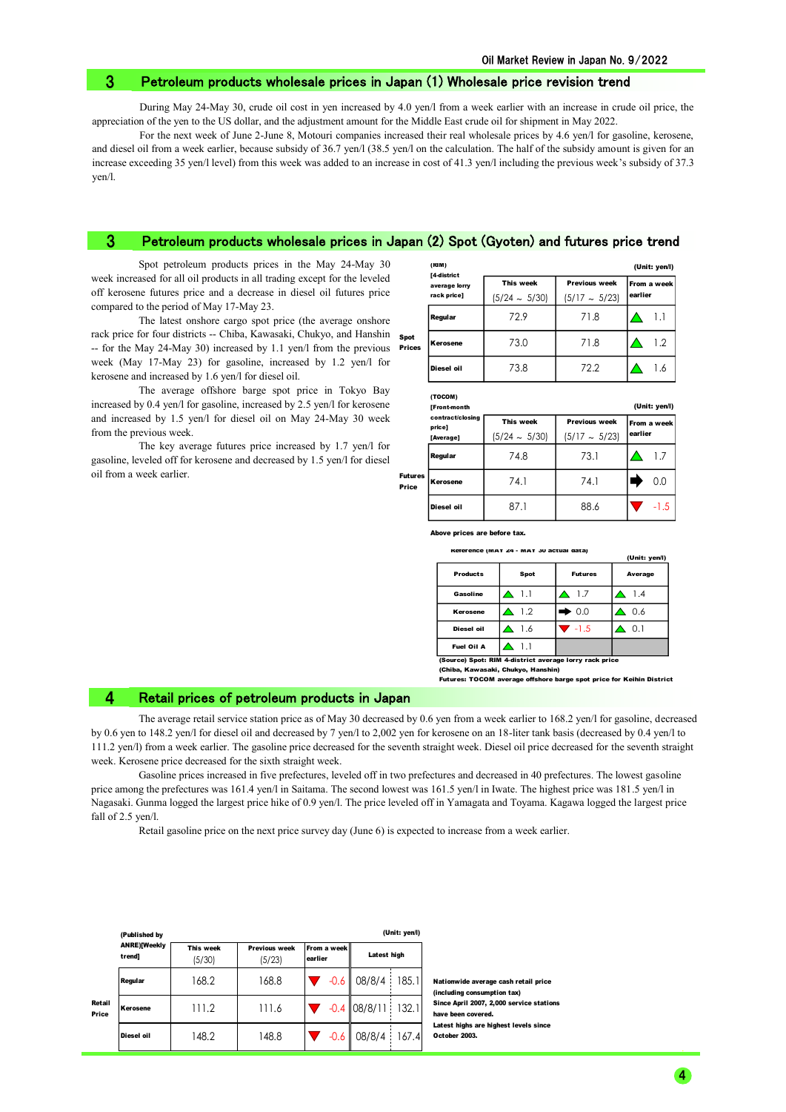### 3 Petroleum products wholesale prices in Japan (1) Wholesale price revision trend

During May 24-May 30, crude oil cost in yen increased by 4.0 yen/l from a week earlier with an increase in crude oil price, the appreciation of the yen to the US dollar, and the adjustment amount for the Middle East crude oil for shipment in May 2022.

For the next week of June 2-June 8, Motouri companies increased their real wholesale prices by 4.6 yen/l for gasoline, kerosene, and diesel oil from a week earlier, because subsidy of 36.7 yen/l (38.5 yen/l on the calculation. The half of the subsidy amount is given for an increase exceeding 35 yen/l level) from this week was added to an increase in cost of 41.3 yen/l including the previous week's subsidy of 37.3 yen/l.

#### Petroleum products wholesale prices in Japan (2) Spot (Gyoten) and futures price trend 3

Spot petroleum products prices in the May 24-May 30 week increased for all oil products in all trading except for the leveled off kerosene futures price and a decrease in diesel oil futures price compared to the period of May 17-May 23.

The latest onshore cargo spot price (the average onshore rack price for four districts -- Chiba, Kawasaki, Chukyo, and Hanshin -- for the May 24-May 30) increased by 1.1 yen/l from the previous Prices week (May 17-May 23) for gasoline, increased by 1.2 yen/l for kerosene and increased by 1.6 yen/l for diesel oil.

The average offshore barge spot price in Tokyo Bay increased by 0.4 yen/l for gasoline, increased by 2.5 yen/l for kerosene and increased by 1.5 yen/l for diesel oil on May 24-May 30 week from the previous week.

The key average futures price increased by 1.7 yen/l for gasoline, leveled off for kerosene and decreased by 1.5 yen/l for diesel oil from a week earlier.

|                | (RIM)<br>[4-district         |                                 |                                            | (Unit: yen/l)          |  |
|----------------|------------------------------|---------------------------------|--------------------------------------------|------------------------|--|
|                | average lorry<br>rack price] | This week<br>$(5/24 \sim 5/30)$ | <b>Previous week</b><br>$(5/17 \sim 5/23)$ | From a week<br>earlier |  |
|                | Regular                      | 72.9                            | 71.8                                       | 1.1                    |  |
| Spot<br>Prices | Kerosene                     | 73.0                            | 71.8                                       | 1.2                    |  |
|                | Diesel oil                   | 73.8                            | 72.2                                       | 1.6                    |  |

|  | rocom) |  |  |  |
|--|--------|--|--|--|
|  |        |  |  |  |

|                  | <b>IFront-month</b>        |                    |                      | (Unit: yen/l) |
|------------------|----------------------------|--------------------|----------------------|---------------|
|                  | contract/closing<br>price] | This week          | <b>Previous week</b> | From a week   |
|                  | [Average]                  | $(5/24 \sim 5/30)$ | $(5/17 \sim 5/23)$   | earlier       |
|                  | Regular                    | 74.8               | 73.1                 | 1.7           |
| Futures<br>Price | Kerosene                   | 74.1               | 74.1                 | 0.0           |
|                  | Diesel oil                 | 87.1               | 88.6                 | $-1.5$        |

Above prices are before tax.

| Reference (MAY 24 - MAY 30 actual data) |  |  |
|-----------------------------------------|--|--|

|                 |      |                | (Unit: yen/l) |
|-----------------|------|----------------|---------------|
| <b>Products</b> | Spot | <b>Futures</b> | Average       |
| Gasoline        | 1.1  | 1.7            | 1.4           |
| Kerosene        | 1.2  | $\bullet$ 0.0  | 0.6           |
| Diesel oil      | 1.6  | $-1.5$         | 0.1           |
| Fuel Oil A      |      |                |               |

(Spot: RIM 4-district average lorry rack price

(Chiba, Kawasaki, Chukyo, Hanshi Futures: TOCOM average offshore barge spot price for Keihin District

### 4 Retail prices of petroleum products in Japan

The average retail service station price as of May 30 decreased by 0.6 yen from a week earlier to 168.2 yen/l for gasoline, decreased by 0.6 yen to 148.2 yen/l for diesel oil and decreased by 7 yen/l to 2,002 yen for kerosene on an 18-liter tank basis (decreased by 0.4 yen/l to 111.2 yen/l) from a week earlier. The gasoline price decreased for the seventh straight week. Diesel oil price decreased for the seventh straight week. Kerosene price decreased for the sixth straight week.

Gasoline prices increased in five prefectures, leveled off in two prefectures and decreased in 40 prefectures. The lowest gasoline price among the prefectures was 161.4 yen/l in Saitama. The second lowest was 161.5 yen/l in Iwate. The highest price was 181.5 yen/l in Nagasaki. Gunma logged the largest price hike of 0.9 yen/l. The price leveled off in Yamagata and Toyama. Kagawa logged the largest price fall of 2.5 yen/l.

Retail gasoline price on the next price survey day (June 6) is expected to increase from a week earlier.

|                 | (Published by                 |                     |                                |                          |                | (Unit: yen/l) |
|-----------------|-------------------------------|---------------------|--------------------------------|--------------------------|----------------|---------------|
|                 | <b>ANRE)[Weekly</b><br>trendl | This week<br>(5/30) | <b>Previous week</b><br>(5/23) | From a week I<br>earlier | Latest high    |               |
|                 | Regular                       | 168.2               | 168.8                          | $-0.6$                   | 08/8/4         | 185.1         |
| Retail<br>Price | Kerosene                      | 111.2               | 111.6                          |                          | $-0.4$ 08/8/11 | 132.1         |
|                 | Diesel oil                    | 148.2               | 148.8                          | $-0.6$                   | 08/8/4         | 167.4         |

Nationwide average cash retail price (including consumption tax) Since April 2007, 2,000 service stations have been covered. Latest highs are highest levels since October 2003.

4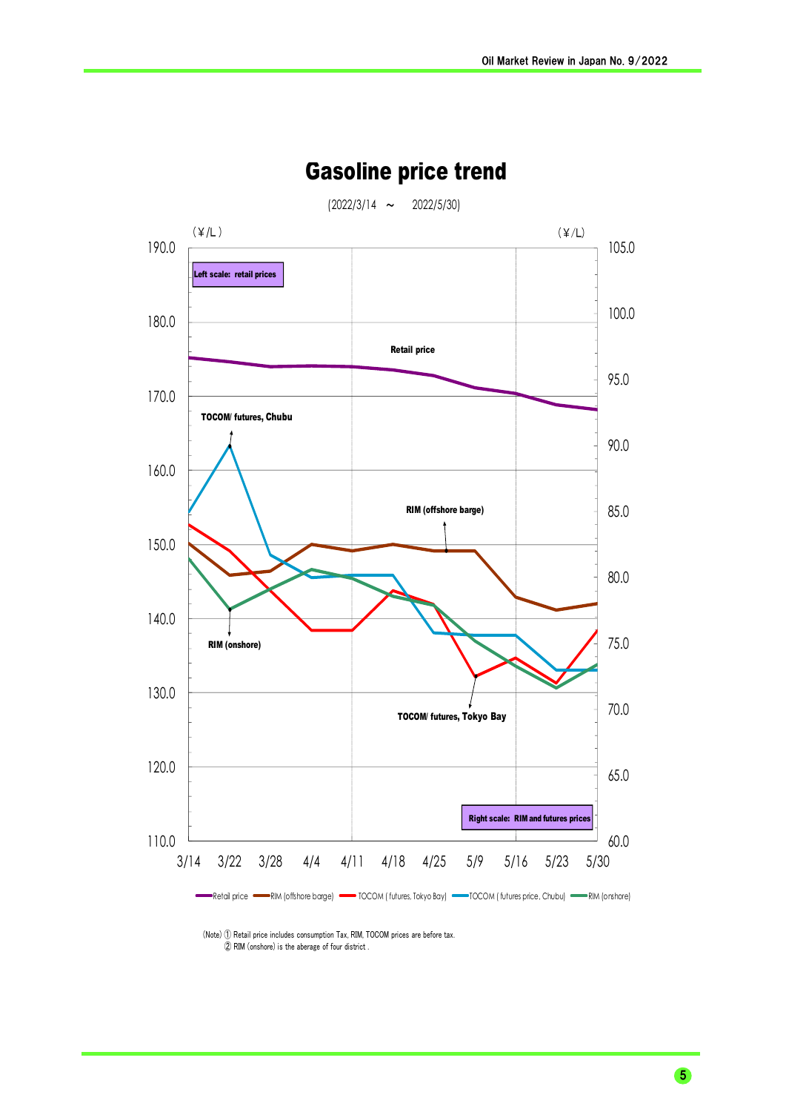

## Gasoline price trend

 (Note) ① Retail price includes consumption Tax, RIM, TOCOM prices are before tax. ② RIM (onshore) is the aberage of four district .

5